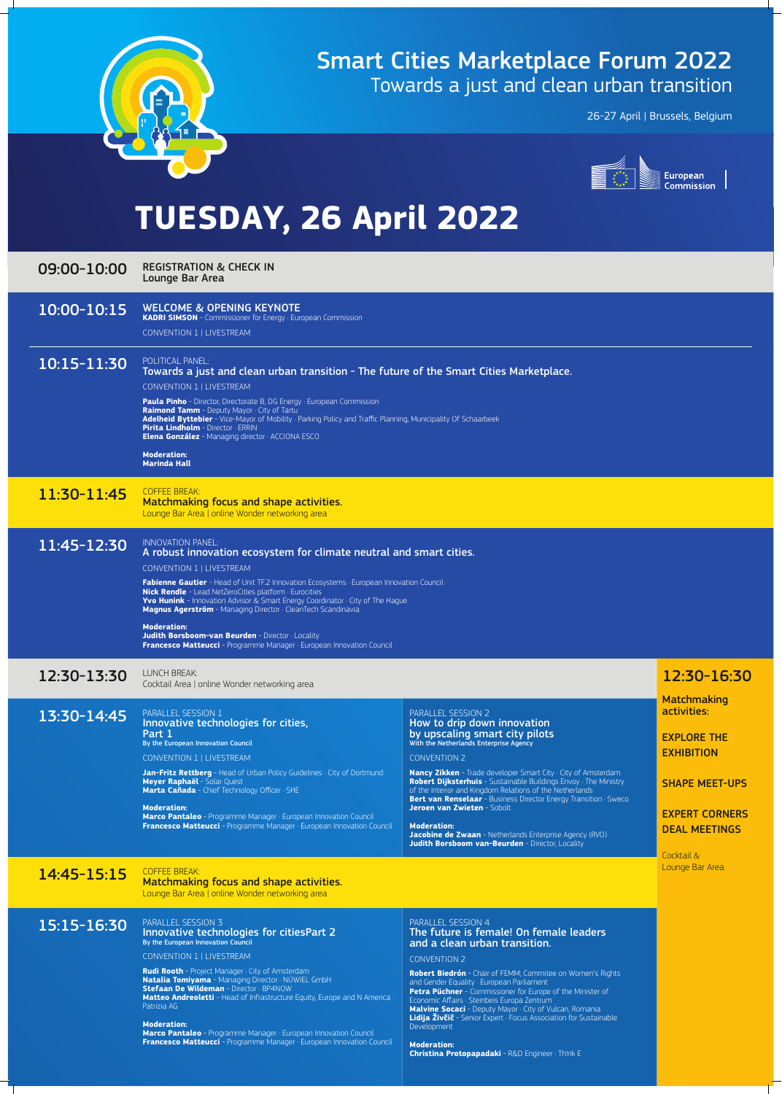

# Smart Cities Marketplace Forum 2022 Towards a just and clean urban transition

#### 09:00-10:00 REGISTRATION & CHECK IN Lounge Bar Area

26-27 April | Brussels, Belgium



# **TUESDAY, 26 April 2022**

# 10:00-10:15 WELCOME & OPENING KEYNOTE

**KADRI SIMSON** - Commissioner for Energy · European Commission

CONVENTION 1 | LIVESTREAM

## 10:15-11:30 POLITICAL PANEL:

**Paula Pinho** - Director, Directorate B, DG Energy · European Commission **Raimond Tamm** - Deputy Mayor · City of Tartu **Adelheid Byttebier** - Vice-Mayor of Mobility · Parking Policy and Traffic Planning, Municipality Of Schaarbeek **Pirita Lindholm** - Director · ERRIN **Elena González** - Managing director · ACCIONA ESCO

Towards a just and clean urban transition - The future of the Smart Cities Marketplace.

CONVENTION 1 | LIVESTREAM

**Fabienne Gautier** - Head of Unit TF.2 Innovation Ecosystems · European Innovation Council **Nick Rendle** - Lead NetZeroCities platform · Eurocities **Yvo Hunink** - Innovation Advisor & Smart Energy Coordinator  $\cdot$  City of The Hague **Magnus Agerström** - Managing Director · CleanTech Scandinavia

> **Matchmaking** activities:

**Moderation: Marinda Hall**

# 11:30-11:45 COFFEE BREAK:

Matchmaking focus and shape activities. Lounge Bar Area | online Wonder networking area

## 11:45-12:30 INNOVATION PANEL:

**Jan-Fritz Rettberg** - Head of Urban Policy Guidelines · City of Dortmund **Meyer Raphaël** - Solar Quest **Marta Cañada** - Chief Technology Officer · SHE

#### **Moderation: Marco Pantaleo** - Programme Manager · European Innovation Council **Francesco Matteucci** - Programme Manager · European Innovation Council

A robust innovation ecosystem for climate neutral and smart cities.

CONVENTION 1 | LIVESTREAM

How to drip down innovation by upscaling smart city pilots With the Netherlands Enterprise Agency

**Moderation: Jacobine de Zwaan** - Netherlands Enterprise Agency (RVO) **Judith Borsboom van-Beurden** - Director, Locality

#### **Moderation:**

**Judith Borsboom-van Beurden** - Director · Locality **Francesco Matteucci** - Programme Manager · European Innovation Council

# 12:30-13:30 LUNCH BREAK:

# Cocktail Area | online Wonder networking area 12:30-16:30

### 13:30-14:45 PARALLEL SESSION 1

EXPLORE THE EXHIBITION

#### SHAPE MEET-UPS

EXPERT CORNERS DEAL MEETINGS

#### Cocktail & Lounge Bar Area

# 14:45-15:15 COFFEE BREAK:

Innovative technologies for cities, Part 1 By the European Innovation Council

#### CONVENTION 1 | LIVESTREAM

#### PARALLEL SESSION 2

#### CONVENTION 2

**Nancy Zikken** - Trade developer Smart City · City of Amsterdam **Robert Dijksterhuis** - Sustainable Buildings Envoy · The Ministry of the Interior and Kingdom Relations of the Netherlands **Bert van Renselaar** - Business Director Energy Transition · Sweco **Jeroen van Zwieten** - Sobolt

Matchmaking focus and shape activities.

Lounge Bar Area | online Wonder networking area

# 15:15-16:30 PARALLEL SESSION 3

# Innovative technologies for citiesPart 2

By the European Innovation Council

#### CONVENTION 1 | LIVESTREAM

**Rudi Rooth** - Project Manager · City of Amsterdam **Natalia Tomiyama** - Managing Director · NÜWIEL GmbH **Stefaan De Wildeman** - Director · BP4NOW **Matteo Andreoletti** - Head of Infrastructure Equity, Europe and N America Patrizia AG

#### **Moderation:**

**Marco Pantaleo** - Programme Manager · European Innovation Council **Francesco Matteucci** - Programme Manager · European Innovation Council

#### PARALLEL SESSION 4 The future is female! On female leaders and a clean urban transition.

#### CONVENTION 2

**Robert Biedrón** - Chair of FEMM; Commitee on Women's Rights and Gender Equality · European Parliament **Petra Püchner** - Commissioner for Europe of the Minister of Economic Affairs · Steinbeis Europa Zentrum **Malvine Socaci** - Deputy Mayor · City of Vulcan, Romania **Lidija Živčič** - Senior Expert · Focus Association for Sustainable Development

**Moderation: Christina Protopapadaki** - R&D Engineer · Th!nk E